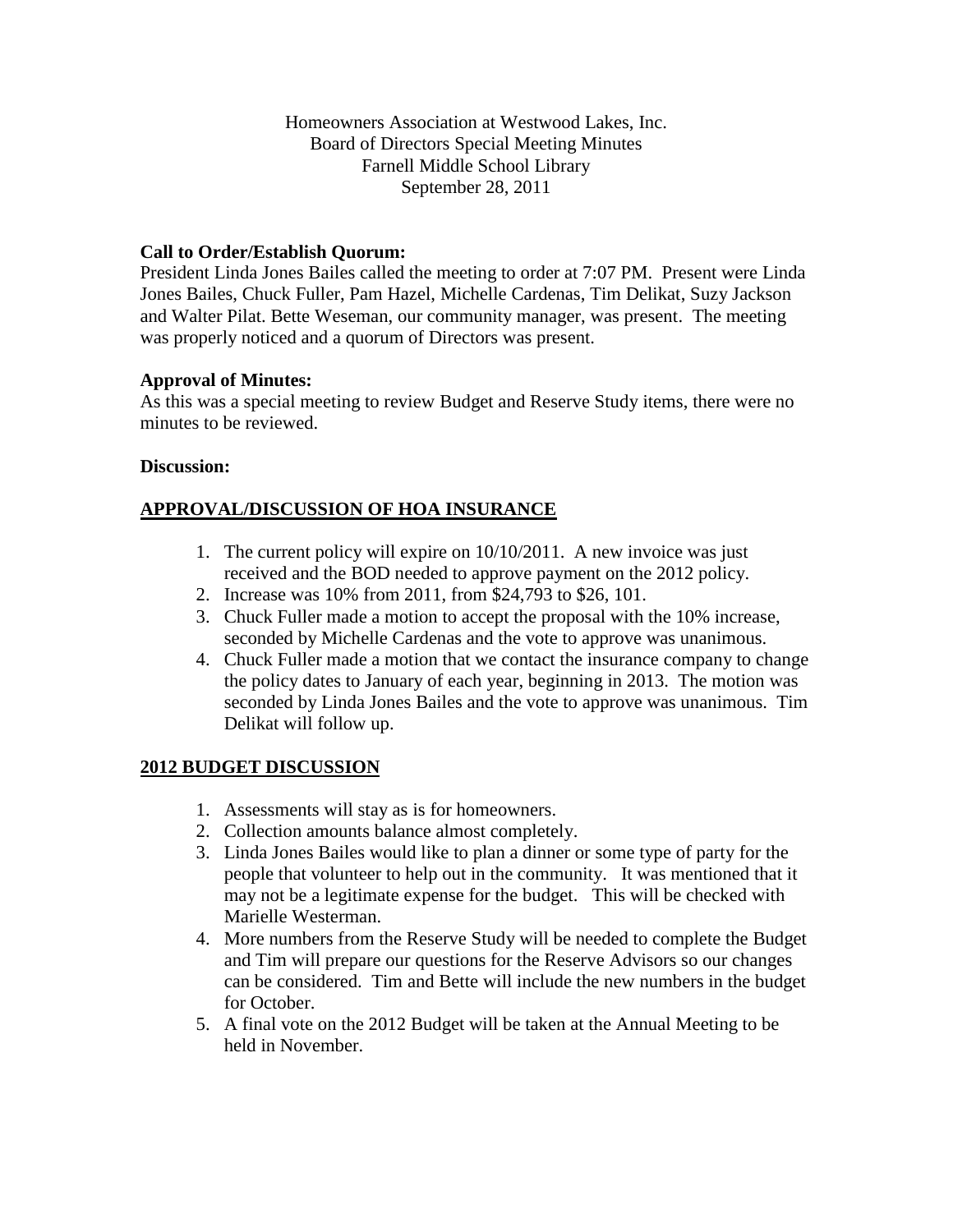Homeowners Association at Westwood Lakes, Inc. Board of Directors Special Meeting Minutes Farnell Middle School Library September 28, 2011

# **Call to Order/Establish Quorum:**

President Linda Jones Bailes called the meeting to order at 7:07 PM. Present were Linda Jones Bailes, Chuck Fuller, Pam Hazel, Michelle Cardenas, Tim Delikat, Suzy Jackson and Walter Pilat. Bette Weseman, our community manager, was present. The meeting was properly noticed and a quorum of Directors was present.

## **Approval of Minutes:**

As this was a special meeting to review Budget and Reserve Study items, there were no minutes to be reviewed.

### **Discussion:**

## **APPROVAL/DISCUSSION OF HOA INSURANCE**

- 1. The current policy will expire on 10/10/2011. A new invoice was just received and the BOD needed to approve payment on the 2012 policy.
- 2. Increase was 10% from 2011, from \$24,793 to \$26, 101.
- 3. Chuck Fuller made a motion to accept the proposal with the 10% increase, seconded by Michelle Cardenas and the vote to approve was unanimous.
- 4. Chuck Fuller made a motion that we contact the insurance company to change the policy dates to January of each year, beginning in 2013. The motion was seconded by Linda Jones Bailes and the vote to approve was unanimous. Tim Delikat will follow up.

### **2012 BUDGET DISCUSSION**

- 1. Assessments will stay as is for homeowners.
- 2. Collection amounts balance almost completely.
- 3. Linda Jones Bailes would like to plan a dinner or some type of party for the people that volunteer to help out in the community. It was mentioned that it may not be a legitimate expense for the budget. This will be checked with Marielle Westerman.
- 4. More numbers from the Reserve Study will be needed to complete the Budget and Tim will prepare our questions for the Reserve Advisors so our changes can be considered. Tim and Bette will include the new numbers in the budget for October.
- 5. A final vote on the 2012 Budget will be taken at the Annual Meeting to be held in November.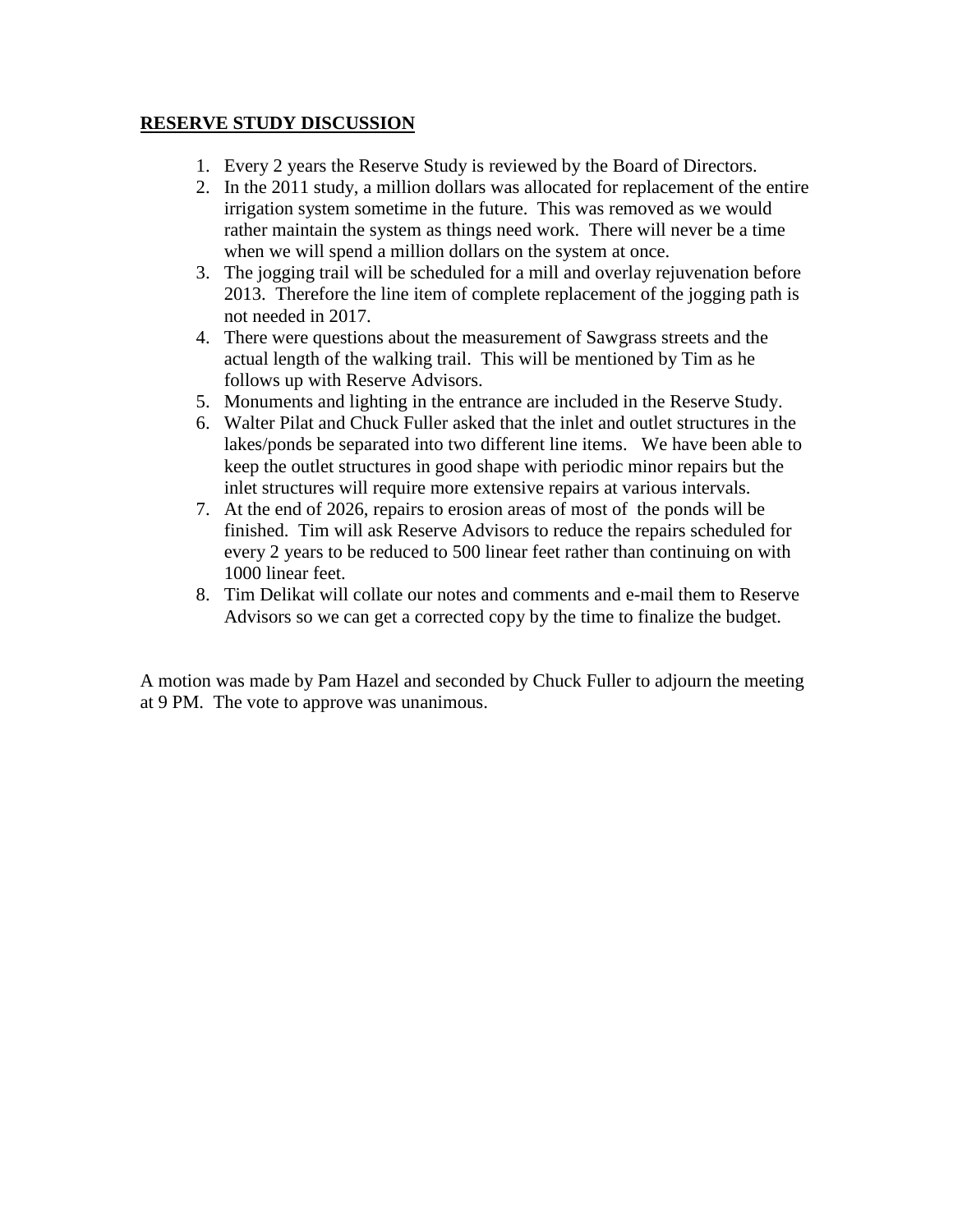## **RESERVE STUDY DISCUSSION**

- 1. Every 2 years the Reserve Study is reviewed by the Board of Directors.
- 2. In the 2011 study, a million dollars was allocated for replacement of the entire irrigation system sometime in the future. This was removed as we would rather maintain the system as things need work. There will never be a time when we will spend a million dollars on the system at once.
- 3. The jogging trail will be scheduled for a mill and overlay rejuvenation before 2013. Therefore the line item of complete replacement of the jogging path is not needed in 2017.
- 4. There were questions about the measurement of Sawgrass streets and the actual length of the walking trail. This will be mentioned by Tim as he follows up with Reserve Advisors.
- 5. Monuments and lighting in the entrance are included in the Reserve Study.
- 6. Walter Pilat and Chuck Fuller asked that the inlet and outlet structures in the lakes/ponds be separated into two different line items. We have been able to keep the outlet structures in good shape with periodic minor repairs but the inlet structures will require more extensive repairs at various intervals.
- 7. At the end of 2026, repairs to erosion areas of most of the ponds will be finished. Tim will ask Reserve Advisors to reduce the repairs scheduled for every 2 years to be reduced to 500 linear feet rather than continuing on with 1000 linear feet.
- 8. Tim Delikat will collate our notes and comments and e-mail them to Reserve Advisors so we can get a corrected copy by the time to finalize the budget.

A motion was made by Pam Hazel and seconded by Chuck Fuller to adjourn the meeting at 9 PM. The vote to approve was unanimous.